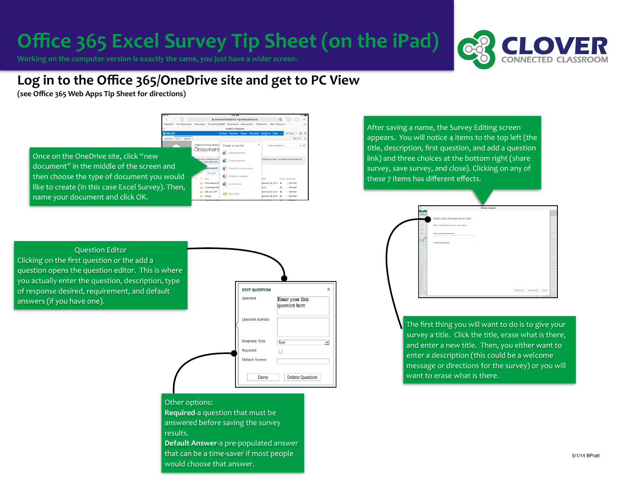# **Office 365 Excel Survey Tip Sheet (on the iPad)**

Working on the computer version is exactly the same, you just have a wider screen.



## Log in to the Office 365/OneDrive site and get to PC View

**(see Office 365 Web Apps Tip Sheet for directions)**



After saving a name, the Survey Editing screen appears. You will notice 4 items to the top left (the title, description, first question, and add a question link) and three choices at the bottom right (share survey, save survey, and close). Clicking on any of these 7 items has different effects.

|                   | Sample survey.xlxx                       |                                               |
|-------------------|------------------------------------------|-----------------------------------------------|
| <b>FILL</b>       | Enter a title for your survey here       |                                               |
| ×                 | Enter a description for your survey here |                                               |
| <b>Body</b><br>fe | Enter your first quotien bere            |                                               |
|                   | Add Now Question                         |                                               |
|                   |                                          |                                               |
|                   |                                          |                                               |
| 10 <sup>2</sup>   |                                          |                                               |
|                   |                                          |                                               |
| 15<br>16          |                                          |                                               |
|                   |                                          |                                               |
|                   |                                          | <b>Drame Survey</b><br>Servered View<br>Close |

The first thing you will want to do is to give your survey a title. Click the title, erase what is there, and enter a new title. Then, you either want to enter a description (this could be a welcome message or directions for the survey) or you will want to erase what is there.



| <b>EDIT QUESTION</b>     |                                   |
|--------------------------|-----------------------------------|
| Question                 | Enter your first<br>question here |
| <b>Question Subtitle</b> |                                   |
| Response Type            | Text                              |
| Required                 | ۰                                 |
| <b>Default Answer</b>    |                                   |
| Done                     | <b>Delete Question</b>            |

### Other options:

**Required-a question that must be** answered before saving the survey results. 

**Default Answer-a pre-populated answer** that can be a time-saver if most people would choose that answer.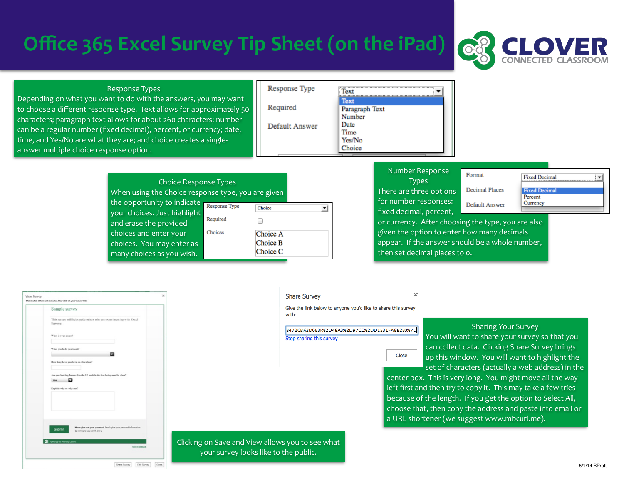# **Office 365 Excel Survey Tip Sheet (on the iPad)**

Choice Response Types When using the Choice response type, you are given

Required

Choices

the opportunity to indicate Response Type

your choices. Just highlight and erase the provided choices and enter your choices. You may enter as many choices as you wish.



#### **Response Types**

Depending on what you want to do with the answers, you may want to choose a different response type. Text allows for approximately 50 characters; paragraph text allows for about 260 characters; number can be a regular number (fixed decimal), percent, or currency; date, time, and Yes/No are what they are; and choice creates a singleanswer multiple choice response option.

| Response Type  | Text                             |
|----------------|----------------------------------|
| Required       | Text<br>Paragraph Text<br>Number |
| Default Answer | Date<br>Time<br>Yes/No           |
|                | Choice                           |

### Number Response

**Types** There are three options for number responses: fixed decimal, percent,

 $\times$ 

**Decimal Places** 

Default Answer

Format

**Fixed Decima** Percent Currency

 $\overline{\phantom{a}}$ 

**Fixed Decimal** 

| or currency. After choosing the type, you are also |
|----------------------------------------------------|
| given the option to enter how many decimals        |
| appear. If the answer should be a whole number,    |
| then set decimal places to o.                      |

| This is what others will are when they click on your survey link:<br>Sample survey                                 |
|--------------------------------------------------------------------------------------------------------------------|
|                                                                                                                    |
| This survey will help guide others who are experimenting with Excel<br>Surveys.                                    |
| What is your name?                                                                                                 |
| What grade do you teach?                                                                                           |
| How long hove you been in education?                                                                               |
| Are you looking forward to the I:1 mobile devices being used in class?<br>o<br>Yes                                 |
| Explain why or why not?                                                                                            |
|                                                                                                                    |
| Never give out your password. Don't give your personal information<br><b>Submit</b><br>to someone you don't trust. |
| Powered by Mercoolt, Excel                                                                                         |

Dara Suvay ESI Suvay Com

**Share Survey** Give the link below to anyone you'd like to share this survey with:

3472CB%2D6E3F%2D48A3%2D97CC%2DD1531FA8B2E0%7D Stop sharing this survey

Close

#### Sharing Your Survey

You will want to share your survey so that you can collect data. Clicking Share Survey brings up this window. You will want to highlight the set of characters (actually a web address) in the

center box. This is very long. You might move all the way left first and then try to copy it. This may take a few tries because of the length. If you get the option to Select All, choose that, then copy the address and paste into email or a URL shortener (we suggest [www.mbcurl.me\)](http://www.mbcurl.me).

Clicking on Save and View allows you to see what your survey looks like to the public.

Choice

Choice A Choice B Choice C

 $\Box$